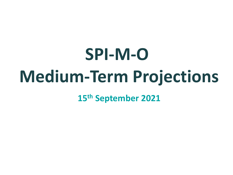# **SPI-M-O Medium-Term Projections**

**15th September 2021**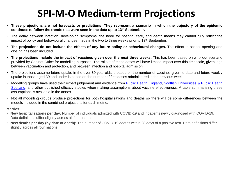## **SPI-M-O Medium-term Projections**

- These projections are not forecasts or predictions. They represent a scenario in which the trajectory of the epidemic **continues to follow the trends that were seen in the data up to 13th September.**
- The delay between infection, developing symptoms, the need for hospital care, and death means they cannot fully reflect the impact of policy and behavioural changes made in the two to three weeks prior to 13<sup>th</sup> September.
- **The projections do not include the effects of any future policy or behavioural changes.** The effect of school opening and closing has been included.
- **The projections include the impact of vaccines given over the next three weeks.** This has been based on a rollout scenario provided by Cabinet Office for modelling purposes. The rollout of these doses will have limited impact over this timescale, given lags between vaccination and protection, and between infection and hospital admission.
- The projections assume future uptake in the over 30-year olds is based on the number of vaccines given to date and future weekly uptake in those aged 30 and under is based on the number of first doses administered in the previous week.
- Modelling groups have used their expert judgement and evidence from Public Health [England](https://www.gov.uk/government/publications/covid-19-vaccine-surveillance-report), Scottish [Universities](https://papers.ssrn.com/sol3/papers.cfm?abstract_id=3789264) & Public Health [Scotland,](https://papers.ssrn.com/sol3/papers.cfm?abstract_id=3789264) and other published efficacy studies when making assumptions about vaccine effectiveness. A table summarising these assumptions is available in the annex.
- Not all modelling groups produce projections for both hospitalisations and deaths so there will be some differences between the models included in the combined projections for each metric.

#### **Metrics:**

- **New hospitalisations per day:** Number of individuals admitted with COVID-19 and inpatients newly diagnosed with COVID-19. Data definitions differ slightly across all four nations.
- **New deaths per day (by date of death):** The number of COVID-19 deaths within 28 days of a positive test. Data definitions differ slightly across all four nations.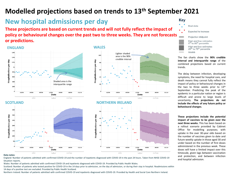Lighter shaded area is the 90% credible interval

 $29/0$ 

 $29/0s$ 

PAST

PAS

12/09

 $12/09$ 

Date

Tobay

Date

TODA<sup>\</sup>

 $19/05$ 

26/09

**FUTURE** 

 $26/09$ 

**FUTURE** 

 $02/10$ 

 $02/10$ 

### **New hospital admissions per day**

**These projections are based on current trends and will not fully reflect the impact of policy or behavioural changes over the past two to three weeks. They are not forecasts or predictions.**





The fan charts show the **90% credible interval and interquartile range** of the combined projections based on current trends.

The delay between infection, developing symptoms, the need for hospital care, and death means they cannot fully reflect the impact of policy or behavioural changes in the two to three weeks prior to 13<sup>th</sup> September. Predicting the peak of the epidemic in a particular nation or region is difficult and prone to large levels of uncertainty. **The projections do not include the effects of any future policy or behavioural changes**.

**These projections include the potential impact of vaccines to be given over the next three weeks.** This has been based on a rollout scenario provided by Cabinet Office for modelling purposes; with uptake in the over 30-year olds based on the number of vaccines given to date and future weekly uptake in those aged 30 and under based on the number of first doses administered in the previous week. These doses will have a limited impact over this timescale, given lags between vaccination and protection, and between infection and hospital admission.

#### **Data notes:**

England: Number of patients admitted with confirmed COVID-19 and the number of inpatients diagnosed with COVID-19 in the past 24 hours. Taken from NHSE COVID-19 Situation reports.

Wales: Number of patients admitted with confirmed COVID-19 and inpatients diagnosed with COVID-19. Provided by Public Health Wales.

Scotland: Number of patients who tested positive for COVID-19 in the 14 days prior to admission, on the day of admission, or during their stay in hospital. Readmissions within 14 days of a positive test are excluded. Provided by Public Health Scotland.

Northern Ireland: Number of patients admitted with confirmed COVID-19 and inpatients diagnosed with COVID-19. Provided by Health and Social Care Northern Ireland.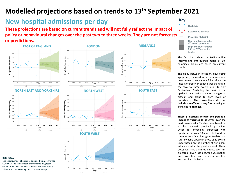### **New hospital admissions per day**

 $\ddot{\epsilon}$ 

**These projections are based on current trends and will not fully reflect the impact of policy or behavioural changes over the past two to three weeks. They are not forecasts or predictions.**









**SOUTH WEST**





Date

**Expected to Increase Projection Midpoint** High and low estimates 5<sup>th</sup> to 95<sup>th</sup> percentile High and low estimates 25<sup>th</sup> to 75<sup>th</sup> percentile

The fan charts show the **90% credible interval and interquartile range** of the combined projections based on current

The delay between infection, developing symptoms, the need for hospital care, and death means they cannot fully reflect the impact of policy or behavioural changes in the two to three weeks prior to 13<sup>th</sup> September. Predicting the peak of the epidemic in a particular nation or region is difficult and prone to large levels of uncertainty. **The projections do not include the effects of any future policy or behavioural changes**.

**These projections include the potential impact of vaccines to be given over the next three weeks.** This has been based on a rollout scenario provided by Cabinet Office for modelling purposes; with uptake in the over 30-year olds based on the number of vaccines given to date and future weekly uptake in those aged 30 and under based on the number of first doses administered in the previous week. These doses will have a limited impact over this timescale, given lags between vaccination and protection, and between infection and hospital admission.

#### **Data notes:**

England: Number of patients admitted with confirmed COVID-19 and the number of inpatients diagnosed with COVID-19 in the past 24 hours. The past data is taken from the NHS England COVID-19 Sitreps.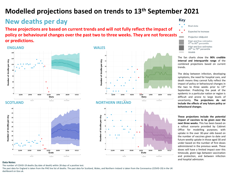### **New deaths per day**

**These projections are based on current trends and will not fully reflect the impact of policy or behavioural changes over the past two to three weeks. They are not forecasts or predictions.**

#### **ENGLAND**  $140$ 120 Number of deaths per day 60  $40$  $20$  $22/08$ 12/09 29/08 Date Toba) PAST **FUTURE SCOTLAND** 40 Number of deaths per day  $35$  $\overline{30}$  $25$  $20$ 15  $10$





The fan charts show the **90% credible interval and interquartile range** of the combined projections based on current trends.

The delay between infection, developing symptoms, the need for hospital care, and death means they cannot fully reflect the impact of policy or behavioural changes in the two to three weeks prior to 13<sup>th</sup> September. Predicting the peak of the epidemic in a particular nation or region is difficult and prone to large levels of uncertainty. **The projections do not include the effects of any future policy or behavioural changes**.

**These projections include the potential impact of vaccines to be given over the next three weeks.** This has been based on a rollout scenario provided by Cabinet Office for modelling purposes; with uptake in the over 30-year olds based on the number of vaccines given to date and future weekly uptake in those aged 30 and under based on the number of first doses administered in the previous week. These doses will have a limited impact over this timescale, given lags between vaccination and protection, and between infection and hospital admission.

#### **Data Notes**:

 $22/01$ 

The number of COVID-19 deaths (by date of death) within 28 days of a positive test.

PAST

Date

TODAY

The past data for England is taken from the PHE line list of deaths. The past data for Scotland, Wales, and Northern Ireland is taken from the Coronavirus (COVID-19) in the UK dashboard on Gov.uk.

26/09

**FUTURE** 

 $03/10$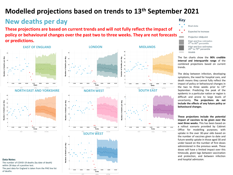### **New deaths per day**

**These projections are based on current trends and will not fully reflect the impact of policy or behavioural changes over the past two to three weeks. They are not forecasts or predictions.**





The number of COVID-19 deaths (by date of death) within 28 days of a positive test. The past data for England is taken from the PHE line list of deaths.





The fan charts show the **90% credible interval and interquartile range** of the combined projections based on current trends.

The delay between infection, developing symptoms, the need for hospital care, and death means they cannot fully reflect the impact of policy or behavioural changes in the two to three weeks prior to 13<sup>th</sup> September. Predicting the peak of the epidemic in a particular nation or region is difficult and prone to large levels of uncertainty. **The projections do not include the effects of any future policy or behavioural changes**.

**These projections include the potential impact of vaccines to be given over the next three weeks.** This has been based on a rollout scenario provided by Cabinet Office for modelling purposes; with uptake in the over 30-year olds based on the number of vaccines given to date and future weekly uptake in those aged 30 and under based on the number of first doses administered in the previous week. These doses will have a limited impact over this timescale, given lags between vaccination and protection, and between infection and hospital admission.